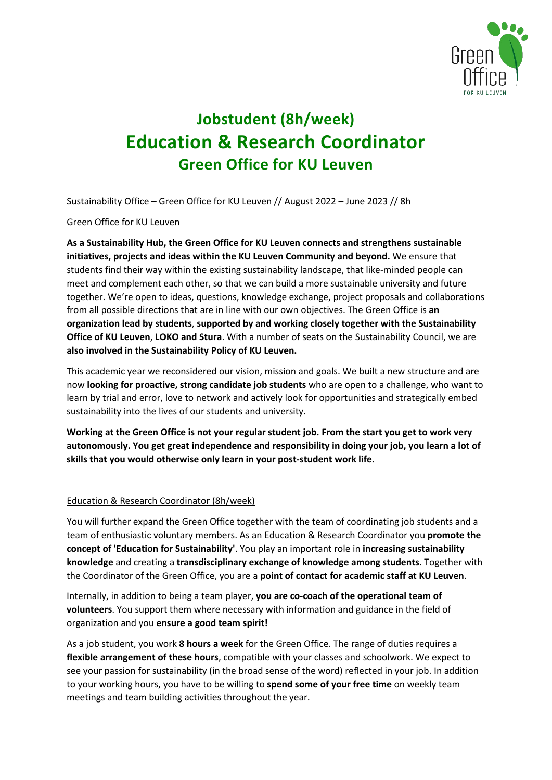

# **Jobstudent (8h/week) Education & Research Coordinator Green Office for KU Leuven**

Sustainability Office – Green Office for KU Leuven // August 2022 – June 2023 // 8h

# Green Office for KU Leuven

**As a Sustainability Hub, the Green Office for KU Leuven connects and strengthens sustainable initiatives, projects and ideas within the KU Leuven Community and beyond.** We ensure that students find their way within the existing sustainability landscape, that like-minded people can meet and complement each other, so that we can build a more sustainable university and future together. We're open to ideas, questions, knowledge exchange, project proposals and collaborations from all possible directions that are in line with our own objectives. The Green Office is **an organization lead by students**, **supported by and working closely together with the Sustainability Office of KU Leuven**, **LOKO and Stura**. With a number of seats on the Sustainability Council, we are **also involved in the Sustainability Policy of KU Leuven.**

This academic year we reconsidered our vision, mission and goals. We built a new structure and are now **looking for proactive, strong candidate job students** who are open to a challenge, who want to learn by trial and error, love to network and actively look for opportunities and strategically embed sustainability into the lives of our students and university.

**Working at the Green Office is not your regular student job. From the start you get to work very autonomously. You get great independence and responsibility in doing your job, you learn a lot of skills that you would otherwise only learn in your post-student work life.** 

# Education & Research Coordinator (8h/week)

You will further expand the Green Office together with the team of coordinating job students and a team of enthusiastic voluntary members. As an Education & Research Coordinator you **promote the concept of 'Education for Sustainability'**. You play an important role in **increasing sustainability knowledge** and creating a **transdisciplinary exchange of knowledge among students**. Together with the Coordinator of the Green Office, you are a **point of contact for academic staff at KU Leuven**.

Internally, in addition to being a team player, **you are co-coach of the operational team of volunteers**. You support them where necessary with information and guidance in the field of organization and you **ensure a good team spirit!**

As a job student, you work **8 hours a week** for the Green Office. The range of duties requires a **flexible arrangement of these hours**, compatible with your classes and schoolwork. We expect to see your passion for sustainability (in the broad sense of the word) reflected in your job. In addition to your working hours, you have to be willing to **spend some of your free time** on weekly team meetings and team building activities throughout the year.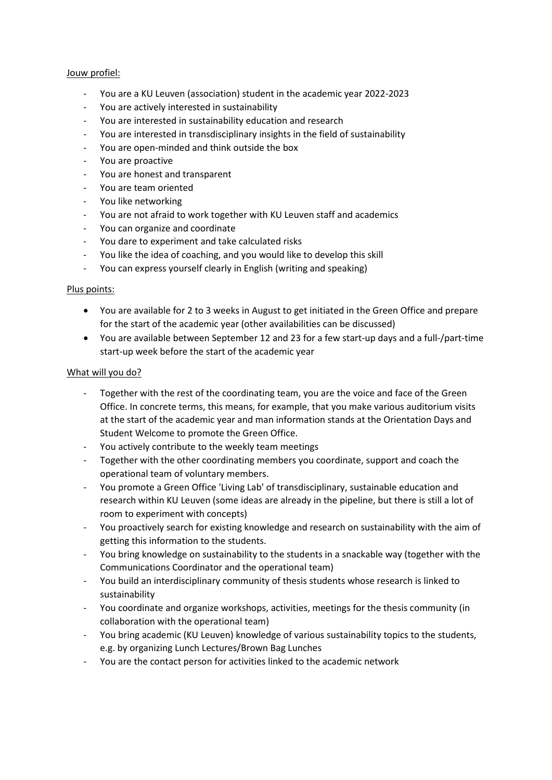#### Jouw profiel:

- You are a KU Leuven (association) student in the academic year 2022-2023
- You are actively interested in sustainability
- You are interested in sustainability education and research
- You are interested in transdisciplinary insights in the field of sustainability
- You are open-minded and think outside the box
- You are proactive
- You are honest and transparent
- You are team oriented
- You like networking
- You are not afraid to work together with KU Leuven staff and academics
- You can organize and coordinate
- You dare to experiment and take calculated risks
- You like the idea of coaching, and you would like to develop this skill
- You can express yourself clearly in English (writing and speaking)

## Plus points:

- You are available for 2 to 3 weeks in August to get initiated in the Green Office and prepare for the start of the academic year (other availabilities can be discussed)
- You are available between September 12 and 23 for a few start-up days and a full-/part-time start-up week before the start of the academic year

# What will you do?

- Together with the rest of the coordinating team, you are the voice and face of the Green Office. In concrete terms, this means, for example, that you make various auditorium visits at the start of the academic year and man information stands at the Orientation Days and Student Welcome to promote the Green Office.
- You actively contribute to the weekly team meetings
- Together with the other coordinating members you coordinate, support and coach the operational team of voluntary members.
- You promote a Green Office 'Living Lab' of transdisciplinary, sustainable education and research within KU Leuven (some ideas are already in the pipeline, but there is still a lot of room to experiment with concepts)
- You proactively search for existing knowledge and research on sustainability with the aim of getting this information to the students.
- You bring knowledge on sustainability to the students in a snackable way (together with the Communications Coordinator and the operational team)
- You build an interdisciplinary community of thesis students whose research is linked to sustainability
- You coordinate and organize workshops, activities, meetings for the thesis community (in collaboration with the operational team)
- You bring academic (KU Leuven) knowledge of various sustainability topics to the students, e.g. by organizing Lunch Lectures/Brown Bag Lunches
- You are the contact person for activities linked to the academic network